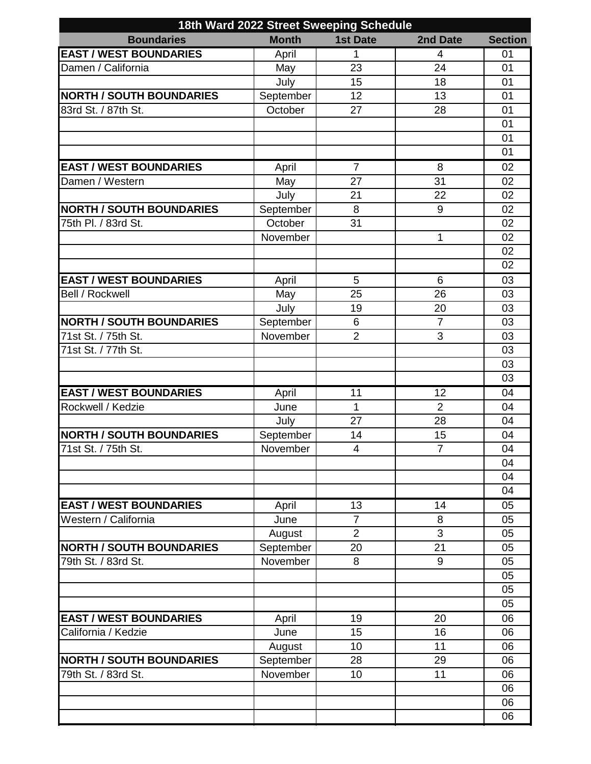| 18th Ward 2022 Street Sweeping Schedule |              |                         |                |                |  |  |  |
|-----------------------------------------|--------------|-------------------------|----------------|----------------|--|--|--|
| <b>Boundaries</b>                       | <b>Month</b> | <b>1st Date</b>         | 2nd Date       | <b>Section</b> |  |  |  |
| <b>EAST / WEST BOUNDARIES</b>           | April        | 1                       | $\overline{4}$ | 01             |  |  |  |
| Damen / California                      | May          | 23                      | 24             | 01             |  |  |  |
|                                         | July         | 15                      | 18             | 01             |  |  |  |
| <b>NORTH / SOUTH BOUNDARIES</b>         | September    | 12                      | 13             | 01             |  |  |  |
| 83rd St. / 87th St.                     | October      | 27                      | 28             | 01             |  |  |  |
|                                         |              |                         |                | 01             |  |  |  |
|                                         |              |                         |                | 01             |  |  |  |
|                                         |              |                         |                | 01             |  |  |  |
| <b>EAST / WEST BOUNDARIES</b>           | April        | $\overline{7}$          | 8              | 02             |  |  |  |
| Damen / Western                         | May          | 27                      | 31             | 02             |  |  |  |
|                                         | July         | 21                      | 22             | 02             |  |  |  |
| <b>NORTH / SOUTH BOUNDARIES</b>         | September    | 8                       | 9              | 02             |  |  |  |
| 75th Pl. / 83rd St.                     | October      | 31                      |                | 02             |  |  |  |
|                                         | November     |                         | 1              | 02             |  |  |  |
|                                         |              |                         |                | 02             |  |  |  |
|                                         |              |                         |                | 02             |  |  |  |
| <b>EAST / WEST BOUNDARIES</b>           | April        | 5                       | 6              | 03             |  |  |  |
| <b>Bell / Rockwell</b>                  | May          | 25                      | 26             | 03             |  |  |  |
|                                         | July         | 19                      | 20             | 03             |  |  |  |
| <b>NORTH / SOUTH BOUNDARIES</b>         | September    | 6                       | $\overline{7}$ | 03             |  |  |  |
| 71st St. / 75th St.                     | November     | $\overline{2}$          | 3              | 03             |  |  |  |
| 71st St. / 77th St.                     |              |                         |                | 03             |  |  |  |
|                                         |              |                         |                | 03             |  |  |  |
|                                         |              |                         |                | 03             |  |  |  |
| <b>EAST / WEST BOUNDARIES</b>           | April        | 11                      | 12             | 04             |  |  |  |
| Rockwell / Kedzie                       | June         | $\mathbf 1$             | $\overline{2}$ | 04             |  |  |  |
|                                         | July         | 27                      | 28             | 04             |  |  |  |
| <b>NORTH / SOUTH BOUNDARIES</b>         | September    | 14                      | 15             | 04             |  |  |  |
| 71st St. / 75th St.                     | November     | $\overline{\mathbf{4}}$ | $\overline{7}$ | 04             |  |  |  |
|                                         |              |                         |                | 04             |  |  |  |
|                                         |              |                         |                | 04             |  |  |  |
|                                         |              |                         |                | 04             |  |  |  |
| <b>EAST / WEST BOUNDARIES</b>           | April        | 13                      | 14             | 05             |  |  |  |
| Western / California                    | June         | $\overline{7}$          | 8              | 05             |  |  |  |
|                                         | August       | $\overline{2}$          | 3              | 05             |  |  |  |
| <b>NORTH / SOUTH BOUNDARIES</b>         | September    | 20                      | 21             | 05             |  |  |  |
| 79th St. / 83rd St.                     | November     | 8                       | 9              | 05             |  |  |  |
|                                         |              |                         |                | 05             |  |  |  |
|                                         |              |                         |                | 05             |  |  |  |
|                                         |              |                         |                | 05             |  |  |  |
| <b>EAST / WEST BOUNDARIES</b>           | April        | 19                      | 20             | 06             |  |  |  |
| California / Kedzie                     | June         | 15                      | 16             | 06             |  |  |  |
|                                         | August       | 10                      | 11             | 06             |  |  |  |
| <b>NORTH / SOUTH BOUNDARIES</b>         | September    | 28                      | 29             | 06             |  |  |  |
| 79th St. / 83rd St.                     | November     | 10                      | 11             | 06             |  |  |  |
|                                         |              |                         |                | 06             |  |  |  |
|                                         |              |                         |                | 06             |  |  |  |
|                                         |              |                         |                | 06             |  |  |  |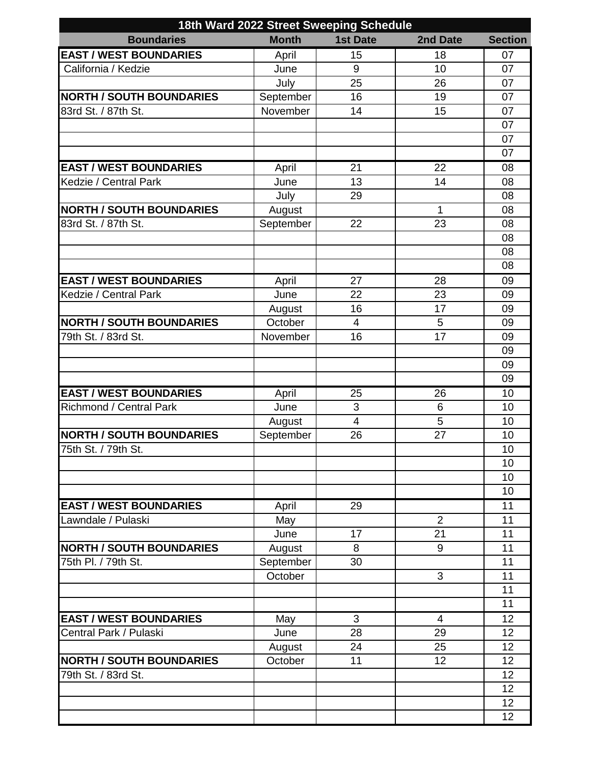| 18th Ward 2022 Street Sweeping Schedule |              |                         |                 |                |  |  |
|-----------------------------------------|--------------|-------------------------|-----------------|----------------|--|--|
| <b>Boundaries</b>                       | <b>Month</b> | <b>1st Date</b>         | 2nd Date        | <b>Section</b> |  |  |
| <b>EAST / WEST BOUNDARIES</b>           | April        | 15                      | 18              | 07             |  |  |
| California / Kedzie                     | June         | 9                       | 10              | 07             |  |  |
|                                         | July         | 25                      | 26              | 07             |  |  |
| <b>NORTH / SOUTH BOUNDARIES</b>         | September    | 16                      | 19              | 07             |  |  |
| 83rd St. / 87th St.                     | November     | 14                      | 15              | 07             |  |  |
|                                         |              |                         |                 | 07             |  |  |
|                                         |              |                         |                 | 07             |  |  |
|                                         |              |                         |                 | 07             |  |  |
| <b>EAST / WEST BOUNDARIES</b>           | April        | 21                      | $\overline{22}$ | 08             |  |  |
| Kedzie / Central Park                   | June         | 13                      | 14              | 08             |  |  |
|                                         | July         | 29                      |                 | 08             |  |  |
| <b>NORTH / SOUTH BOUNDARIES</b>         | August       |                         | 1               | 08             |  |  |
| 83rd St. / 87th St.                     | September    | 22                      | 23              | 08             |  |  |
|                                         |              |                         |                 | 08             |  |  |
|                                         |              |                         |                 | 08             |  |  |
|                                         |              |                         |                 | 08             |  |  |
| <b>EAST / WEST BOUNDARIES</b>           | April        | 27                      | 28              | 09             |  |  |
| Kedzie / Central Park                   | June         | 22                      | 23              | 09             |  |  |
|                                         | August       | 16                      | 17              | 09             |  |  |
| <b>NORTH / SOUTH BOUNDARIES</b>         | October      | $\overline{4}$          | 5               | 09             |  |  |
| 79th St. / 83rd St.                     | November     | 16                      | 17              | 09             |  |  |
|                                         |              |                         |                 | 09             |  |  |
|                                         |              |                         |                 | 09             |  |  |
|                                         |              |                         |                 | 09             |  |  |
| <b>EAST / WEST BOUNDARIES</b>           | April        | 25                      | 26              | 10             |  |  |
| <b>Richmond / Central Park</b>          | June         | 3                       | 6               | 10             |  |  |
|                                         | August       | $\overline{\mathbf{4}}$ | 5               | 10             |  |  |
| <b>NORTH / SOUTH BOUNDARIES</b>         | September    | 26                      | 27              | 10             |  |  |
| 75th St. / 79th St.                     |              |                         |                 | 10             |  |  |
|                                         |              |                         |                 | 10             |  |  |
|                                         |              |                         |                 | 10             |  |  |
|                                         |              |                         |                 | 10             |  |  |
| <b>EAST / WEST BOUNDARIES</b>           | April        | 29                      |                 | 11             |  |  |
| Lawndale / Pulaski                      | May          |                         | $\overline{2}$  | 11             |  |  |
|                                         | June         | 17                      | 21              | 11             |  |  |
| <b>NORTH / SOUTH BOUNDARIES</b>         | August       | 8                       | 9               | 11             |  |  |
| 75th Pl. / 79th St.                     | September    | 30                      |                 | 11             |  |  |
|                                         | October      |                         | 3               | 11             |  |  |
|                                         |              |                         |                 | 11             |  |  |
|                                         |              |                         |                 | 11             |  |  |
| <b>EAST / WEST BOUNDARIES</b>           | May          | $\overline{3}$          | $\overline{4}$  | 12             |  |  |
| Central Park / Pulaski                  | June         | 28                      | 29              | 12             |  |  |
|                                         | August       | 24                      | 25              | 12             |  |  |
| <b>NORTH / SOUTH BOUNDARIES</b>         | October      | 11                      | 12              | 12             |  |  |
| 79th St. / 83rd St.                     |              |                         |                 | 12             |  |  |
|                                         |              |                         |                 | 12             |  |  |
|                                         |              |                         |                 | 12             |  |  |
|                                         |              |                         |                 | 12             |  |  |